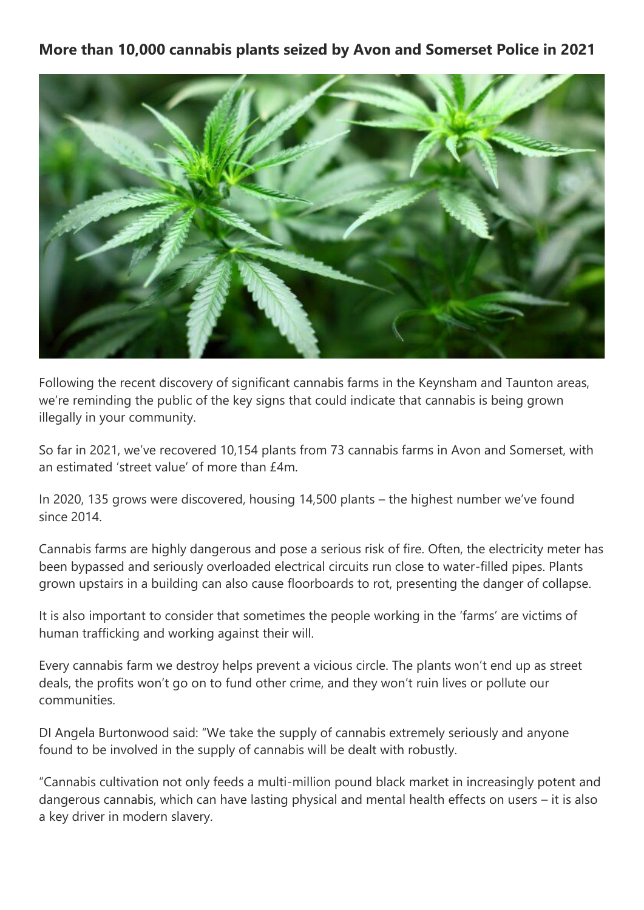## **More than 10,000 cannabis plants seized by Avon and Somerset Police in 2021**



Following the recent discovery of significant cannabis farms in the Keynsham and Taunton areas, we're reminding the public of the key signs that could indicate that cannabis is being grown illegally in your community.

So far in 2021, we've recovered 10,154 plants from 73 cannabis farms in Avon and Somerset, with an estimated 'street value' of more than £4m.

In 2020, 135 grows were discovered, housing 14,500 plants – the highest number we've found since 2014.

Cannabis farms are highly dangerous and pose a serious risk of fire. Often, the electricity meter has been bypassed and seriously overloaded electrical circuits run close to water-filled pipes. Plants grown upstairs in a building can also cause floorboards to rot, presenting the danger of collapse.

It is also important to consider that sometimes the people working in the 'farms' are victims of human trafficking and working against their will.

Every cannabis farm we destroy helps prevent a vicious circle. The plants won't end up as street deals, the profits won't go on to fund other crime, and they won't ruin lives or pollute our communities.

DI Angela Burtonwood said: "We take the supply of cannabis extremely seriously and anyone found to be involved in the supply of cannabis will be dealt with robustly.

"Cannabis cultivation not only feeds a multi-million pound black market in increasingly potent and dangerous cannabis, which can have lasting physical and mental health effects on users – it is also a key driver in modern slavery.